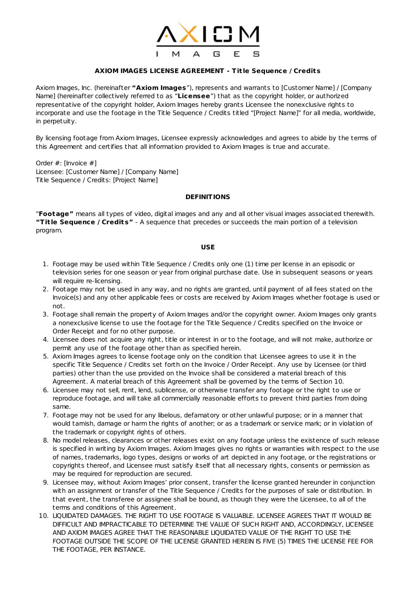

## **AXIOM IMAGES LICENSE AGREEMENT - Tit le Sequence / Credits**

Axiom Images, Inc. (hereinafter **"Axiom Images**"), represents and warrants to [Customer Name] / [Company Name] (hereinafter collectively referred to as "**Licensee**") that as the copyright holder, or authorized representative of the copyright holder, Axiom Images hereby grants Licensee the nonexclusive rights to incorporate and use the footage in the Title Sequence / Credits titled "[Project Name]" for all media, worldwide, in perpetuity.

By licensing footage from Axiom Images, Licensee expressly acknowledges and agrees to abide by the terms of this Agreement and certifies that all information provided to Axiom Images is true and accurate.

Order #: [Invoice #] Licensee: [Customer Name] / [Company Name] Title Sequence / Credits: [Project Name]

## **DEFINITIONS**

"**Footage"** means all types of video, digital images and any and all other visual images associated therewith. **"Tit le Sequence / Credits"** - A sequence that precedes or succeeds the main portion of a television program.

## **USE**

- 1. Footage may be used within Title Sequence / Credits only one (1) time per license in an episodic or television series for one season or year from original purchase date. Use in subsequent seasons or years will require re-licensing.
- 2. Footage may not be used in any way, and no rights are granted, until payment of all fees stated on the Invoice(s) and any other applicable fees or costs are received by Axiom Images whether footage is used or not.
- 3. Footage shall remain the property of Axiom Images and/or the copyright owner. Axiom Images only grants a nonexclusive license to use the footage for the Title Sequence / Credits specified on the Invoice or Order Receipt and for no other purpose.
- 4. Licensee does not acquire any right, title or interest in or to the footage, and will not make, authorize or permit any use of the footage other than as specified herein.
- 5. Axiom Images agrees to license footage only on the condition that Licensee agrees to use it in the specific Title Sequence / Credits set forth on the Invoice / Order Receipt. Any use by Licensee (or third parties) other than the use provided on the Invoice shall be considered a material breach of this Agreement. A material breach of this Agreement shall be governed by the terms of Section 10.
- 6. Licensee may not sell, rent, lend, sublicense, or otherwise transfer any footage or the right to use or reproduce footage, and will take all commercially reasonable efforts to prevent third parties from doing same.
- 7. Footage may not be used for any libelous, defamatory or other unlawful purpose; or in a manner that would tarnish, damage or harm the rights of another; or as a trademark or service mark; or in violation of the trademark or copyright rights of others.
- 8. No model releases, clearances or other releases exist on any footage unless the existence of such release is specified in writing by Axiom Images. Axiom Images gives no rights or warranties with respect to the use of names, trademarks, logo types, designs or works of art depicted in any footage, or the registrations or copyrights thereof, and Licensee must satisfy itself that all necessary rights, consents or permission as may be required for reproduction are secured.
- 9. Licensee may, without Axiom Images' prior consent, transfer the license granted hereunder in conjunction with an assignment or transfer of the Title Sequence / Credits for the purposes of sale or distribution. In that event, the transferee or assignee shall be bound, as though they were the Licensee, to all of the terms and conditions of this Agreement.
- 10. LIQUIDATED DAMAGES. THE RIGHT TO USE FOOTAGE IS VALUABLE. LICENSEE AGREES THAT IT WOULD BE DIFFICULT AND IMPRACTICABLE TO DETERMINE THE VALUE OF SUCH RIGHT AND, ACCORDINGLY, LICENSEE AND AXIOM IMAGES AGREE THAT THE REASONABLE LIQUIDATED VALUE OF THE RIGHT TO USE THE FOOTAGE OUTSIDE THE SCOPE OF THE LICENSE GRANTED HEREIN IS FIVE (5) TIMES THE LICENSE FEE FOR THE FOOTAGE, PER INSTANCE.